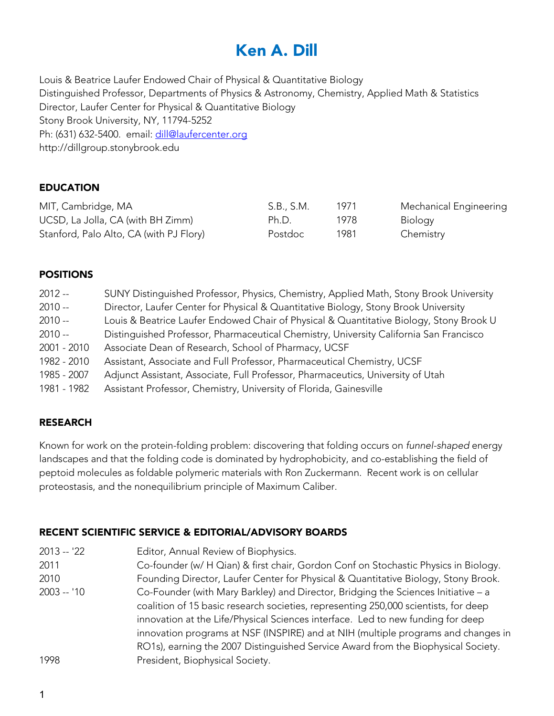# Ken A. Dill

Louis & Beatrice Laufer Endowed Chair of Physical & Quantitative Biology Distinguished Professor, Departments of Physics & Astronomy, Chemistry, Applied Math & Statistics Director, Laufer Center for Physical & Quantitative Biology Stony Brook University, NY, 11794-5252 Ph: (631) 632-5400. email: dill@laufercenter.org http://dillgroup.stonybrook.edu

## EDUCATION

| MIT, Cambridge, MA                      | S.B., S.M. | 1971 | Mechanical Engineering |
|-----------------------------------------|------------|------|------------------------|
| UCSD, La Jolla, CA (with BH Zimm)       | Ph.D.      | 1978 | Biology                |
| Stanford, Palo Alto, CA (with PJ Flory) | Postdoc    | 1981 | Chemistry              |

#### POSITIONS

| $2012 -$    | SUNY Distinguished Professor, Physics, Chemistry, Applied Math, Stony Brook University  |
|-------------|-----------------------------------------------------------------------------------------|
| $2010 -$    | Director, Laufer Center for Physical & Quantitative Biology, Stony Brook University     |
| $2010 -$    | Louis & Beatrice Laufer Endowed Chair of Physical & Quantitative Biology, Stony Brook U |
| $2010 -$    | Distinguished Professor, Pharmaceutical Chemistry, University California San Francisco  |
| 2001 - 2010 | Associate Dean of Research, School of Pharmacy, UCSF                                    |
| 1982 - 2010 | Assistant, Associate and Full Professor, Pharmaceutical Chemistry, UCSF                 |
| 1985 - 2007 | Adjunct Assistant, Associate, Full Professor, Pharmaceutics, University of Utah         |
| 1981 - 1982 | Assistant Professor, Chemistry, University of Florida, Gainesville                      |
|             |                                                                                         |

## RESEARCH

Known for work on the protein-folding problem: discovering that folding occurs on *funnel-shaped* energy landscapes and that the folding code is dominated by hydrophobicity, and co-establishing the field of peptoid molecules as foldable polymeric materials with Ron Zuckermann. Recent work is on cellular proteostasis, and the nonequilibrium principle of Maximum Caliber.

## RECENT SCIENTIFIC SERVICE & EDITORIAL/ADVISORY BOARDS

2013 -- '22 Editor, Annual Review of Biophysics. 2011 Co-founder (w/ H Qian) & first chair, Gordon Conf on Stochastic Physics in Biology. 2010 Founding Director, Laufer Center for Physical & Quantitative Biology, Stony Brook. 2003 -- '10 Co-Founder (with Mary Barkley) and Director, Bridging the Sciences Initiative – a coalition of 15 basic research societies, representing 250,000 scientists, for deep innovation at the Life/Physical Sciences interface. Led to new funding for deep innovation programs at NSF (INSPIRE) and at NIH (multiple programs and changes in RO1s), earning the 2007 Distinguished Service Award from the Biophysical Society. 1998 **President, Biophysical Society.**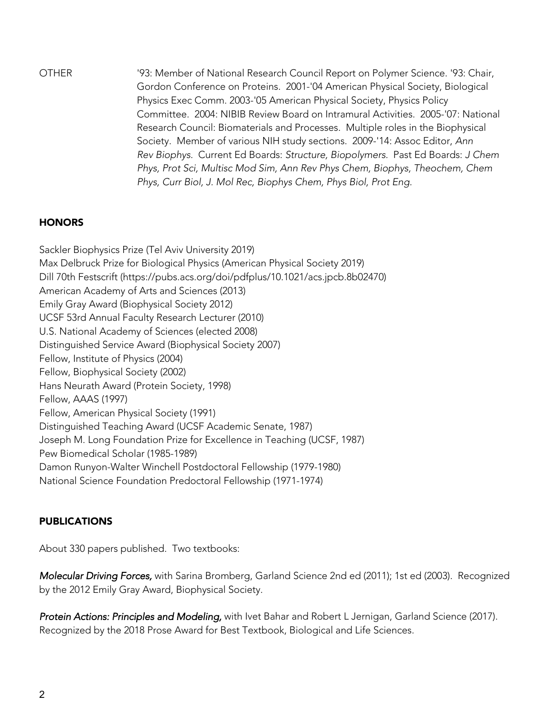OTHER '93: Member of National Research Council Report on Polymer Science. '93: Chair, Gordon Conference on Proteins. 2001-'04 American Physical Society, Biological Physics Exec Comm. 2003-'05 American Physical Society, Physics Policy Committee. 2004: NIBIB Review Board on Intramural Activities. 2005-'07: National Research Council: Biomaterials and Processes. Multiple roles in the Biophysical Society. Member of various NIH study sections. 2009-'14: Assoc Editor, *Ann Rev Biophys.* Current Ed Boards: *Structure, Biopolymers.* Past Ed Boards: *J Chem Phys, Prot Sci, Multisc Mod Sim, Ann Rev Phys Chem, Biophys, Theochem, Chem Phys, Curr Biol, J. Mol Rec, Biophys Chem, Phys Biol, Prot Eng.*

#### **HONORS**

Sackler Biophysics Prize (Tel Aviv University 2019) Max Delbruck Prize for Biological Physics (American Physical Society 2019) Dill 70th Festscrift (https://pubs.acs.org/doi/pdfplus/10.1021/acs.jpcb.8b02470) American Academy of Arts and Sciences (2013) Emily Gray Award (Biophysical Society 2012) UCSF 53rd Annual Faculty Research Lecturer (2010) U.S. National Academy of Sciences (elected 2008) Distinguished Service Award (Biophysical Society 2007) Fellow, Institute of Physics (2004) Fellow, Biophysical Society (2002) Hans Neurath Award (Protein Society, 1998) Fellow, AAAS (1997) Fellow, American Physical Society (1991) Distinguished Teaching Award (UCSF Academic Senate, 1987) Joseph M. Long Foundation Prize for Excellence in Teaching (UCSF, 1987) Pew Biomedical Scholar (1985-1989) Damon Runyon-Walter Winchell Postdoctoral Fellowship (1979-1980) National Science Foundation Predoctoral Fellowship (1971-1974)

## PUBLICATIONS

About 330 papers published. Two textbooks:

*Molecular Driving Forces,* with Sarina Bromberg, Garland Science 2nd ed (2011); 1st ed (2003). Recognized by the 2012 Emily Gray Award, Biophysical Society.

*Protein Actions: Principles and Modeling,* with Ivet Bahar and Robert L Jernigan, Garland Science (2017). Recognized by the 2018 Prose Award for Best Textbook, Biological and Life Sciences.